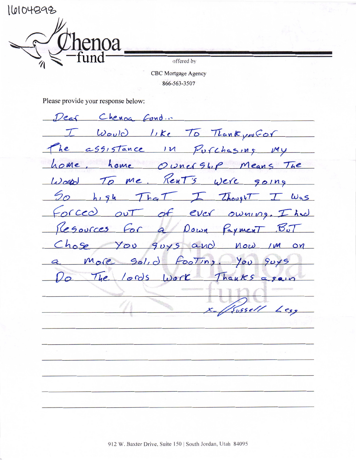110104398

offered by

**CBC** Mortgage Agency 866-563-3507

Please provide your response below:

Dear Chenog Cond. I Would like To Thank you for he assistance in Pufchasing my home, home Owner Ship Means The World To me, Rent's were going So high That I Thought I Was Forced out of ever owning. I had Resources For a Down Payment But Chose You guys and now im on More gol, d Footing, You guys Do The lords work Thanks again  $5055$ ell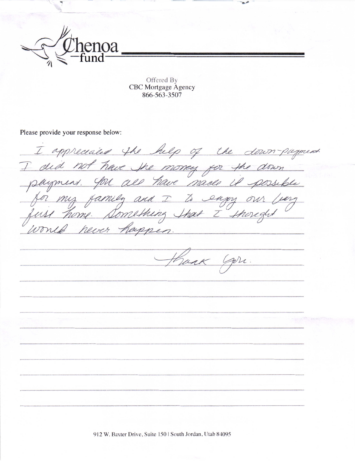

 $\ddot{\phantom{0}}$ 

Offered By CBC Mortgage Agency 866-563-3507

-L,

Please provide your response below

I did not have the money for the down // Z hever happen Hank you.

912 W. Baxter Drive, Suite 150 | South Jordan, Utah 84095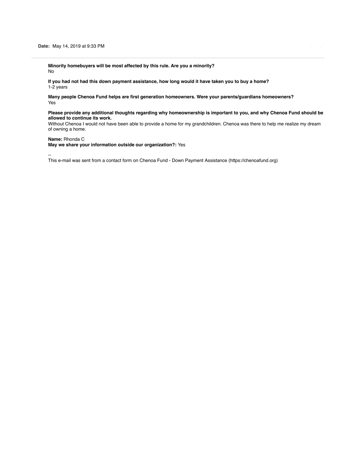**Minority homebuyers will be most affected by this rule. Are you a minority?** No

**If you had not had this down payment assistance, how long would it have taken you to buy a home?** 1-2 years

**Many people Chenoa Fund helps are first generation homeowners. Were your parents/guardians homeowners?** Yes

## **Please provide any additional thoughts regarding why homeownership is important to you, and why Chenoa Fund should be allowed to continue its work.**

Without Chenoa I would not have been able to provide a home for my grandchildren. Chenoa was there to help me realize my dream of owning a home.

## **Name:** Rhonda C

**May we share your information outside our organization?:** Yes

--

This e-mail was sent from a contact form on Chenoa Fund - Down Payment Assistance (https://chenoafund.org)